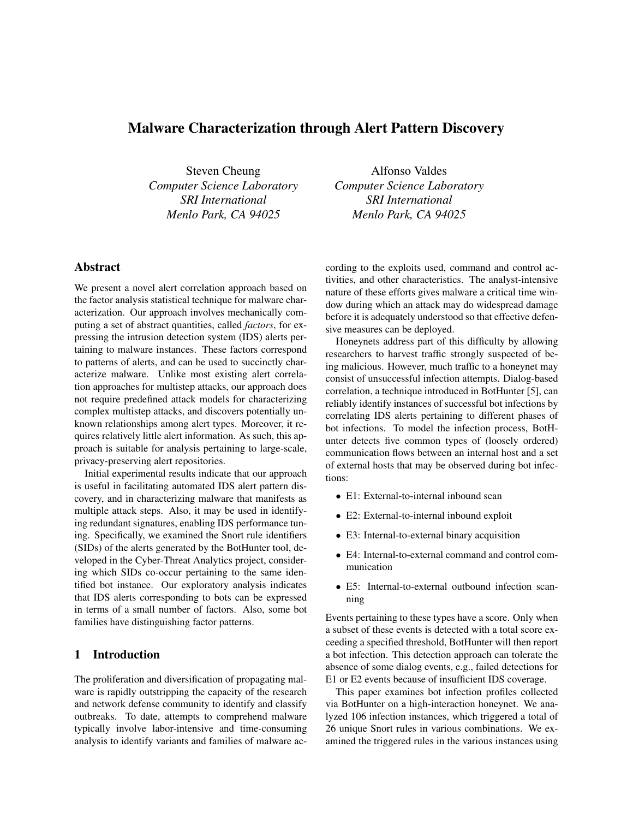# Malware Characterization through Alert Pattern Discovery

Steven Cheung *Computer Science Laboratory SRI International Menlo Park, CA 94025*

# Abstract

We present a novel alert correlation approach based on the factor analysis statistical technique for malware characterization. Our approach involves mechanically computing a set of abstract quantities, called *factors*, for expressing the intrusion detection system (IDS) alerts pertaining to malware instances. These factors correspond to patterns of alerts, and can be used to succinctly characterize malware. Unlike most existing alert correlation approaches for multistep attacks, our approach does not require predefined attack models for characterizing complex multistep attacks, and discovers potentially unknown relationships among alert types. Moreover, it requires relatively little alert information. As such, this approach is suitable for analysis pertaining to large-scale, privacy-preserving alert repositories.

Initial experimental results indicate that our approach is useful in facilitating automated IDS alert pattern discovery, and in characterizing malware that manifests as multiple attack steps. Also, it may be used in identifying redundant signatures, enabling IDS performance tuning. Specifically, we examined the Snort rule identifiers (SIDs) of the alerts generated by the BotHunter tool, developed in the Cyber-Threat Analytics project, considering which SIDs co-occur pertaining to the same identified bot instance. Our exploratory analysis indicates that IDS alerts corresponding to bots can be expressed in terms of a small number of factors. Also, some bot families have distinguishing factor patterns.

## 1 Introduction

The proliferation and diversification of propagating malware is rapidly outstripping the capacity of the research and network defense community to identify and classify outbreaks. To date, attempts to comprehend malware typically involve labor-intensive and time-consuming analysis to identify variants and families of malware ac-

Alfonso Valdes *Computer Science Laboratory SRI International Menlo Park, CA 94025*

cording to the exploits used, command and control activities, and other characteristics. The analyst-intensive nature of these efforts gives malware a critical time window during which an attack may do widespread damage before it is adequately understood so that effective defensive measures can be deployed.

Honeynets address part of this difficulty by allowing researchers to harvest traffic strongly suspected of being malicious. However, much traffic to a honeynet may consist of unsuccessful infection attempts. Dialog-based correlation, a technique introduced in BotHunter [5], can reliably identify instances of successful bot infections by correlating IDS alerts pertaining to different phases of bot infections. To model the infection process, BotHunter detects five common types of (loosely ordered) communication flows between an internal host and a set of external hosts that may be observed during bot infections:

- E1: External-to-internal inbound scan
- E2: External-to-internal inbound exploit
- E3: Internal-to-external binary acquisition
- E4: Internal-to-external command and control communication
- E5: Internal-to-external outbound infection scanning

Events pertaining to these types have a score. Only when a subset of these events is detected with a total score exceeding a specified threshold, BotHunter will then report a bot infection. This detection approach can tolerate the absence of some dialog events, e.g., failed detections for E1 or E2 events because of insufficient IDS coverage.

This paper examines bot infection profiles collected via BotHunter on a high-interaction honeynet. We analyzed 106 infection instances, which triggered a total of 26 unique Snort rules in various combinations. We examined the triggered rules in the various instances using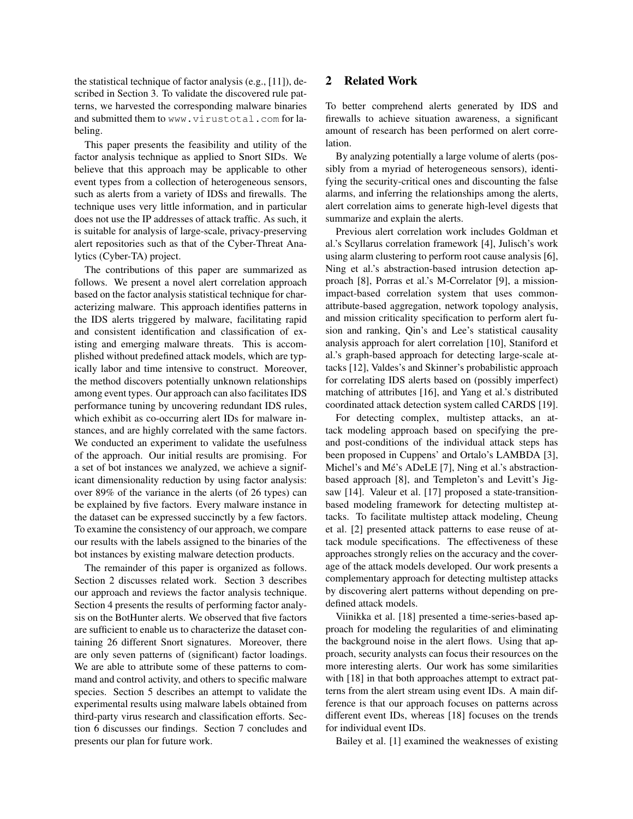the statistical technique of factor analysis (e.g., [11]), described in Section 3. To validate the discovered rule patterns, we harvested the corresponding malware binaries and submitted them to www.virustotal.com for labeling.

This paper presents the feasibility and utility of the factor analysis technique as applied to Snort SIDs. We believe that this approach may be applicable to other event types from a collection of heterogeneous sensors, such as alerts from a variety of IDSs and firewalls. The technique uses very little information, and in particular does not use the IP addresses of attack traffic. As such, it is suitable for analysis of large-scale, privacy-preserving alert repositories such as that of the Cyber-Threat Analytics (Cyber-TA) project.

The contributions of this paper are summarized as follows. We present a novel alert correlation approach based on the factor analysis statistical technique for characterizing malware. This approach identifies patterns in the IDS alerts triggered by malware, facilitating rapid and consistent identification and classification of existing and emerging malware threats. This is accomplished without predefined attack models, which are typically labor and time intensive to construct. Moreover, the method discovers potentially unknown relationships among event types. Our approach can also facilitates IDS performance tuning by uncovering redundant IDS rules, which exhibit as co-occurring alert IDs for malware instances, and are highly correlated with the same factors. We conducted an experiment to validate the usefulness of the approach. Our initial results are promising. For a set of bot instances we analyzed, we achieve a significant dimensionality reduction by using factor analysis: over 89% of the variance in the alerts (of 26 types) can be explained by five factors. Every malware instance in the dataset can be expressed succinctly by a few factors. To examine the consistency of our approach, we compare our results with the labels assigned to the binaries of the bot instances by existing malware detection products.

The remainder of this paper is organized as follows. Section 2 discusses related work. Section 3 describes our approach and reviews the factor analysis technique. Section 4 presents the results of performing factor analysis on the BotHunter alerts. We observed that five factors are sufficient to enable us to characterize the dataset containing 26 different Snort signatures. Moreover, there are only seven patterns of (significant) factor loadings. We are able to attribute some of these patterns to command and control activity, and others to specific malware species. Section 5 describes an attempt to validate the experimental results using malware labels obtained from third-party virus research and classification efforts. Section 6 discusses our findings. Section 7 concludes and presents our plan for future work.

# 2 Related Work

To better comprehend alerts generated by IDS and firewalls to achieve situation awareness, a significant amount of research has been performed on alert correlation.

By analyzing potentially a large volume of alerts (possibly from a myriad of heterogeneous sensors), identifying the security-critical ones and discounting the false alarms, and inferring the relationships among the alerts, alert correlation aims to generate high-level digests that summarize and explain the alerts.

Previous alert correlation work includes Goldman et al.'s Scyllarus correlation framework [4], Julisch's work using alarm clustering to perform root cause analysis [6], Ning et al.'s abstraction-based intrusion detection approach [8], Porras et al.'s M-Correlator [9], a missionimpact-based correlation system that uses commonattribute-based aggregation, network topology analysis, and mission criticality specification to perform alert fusion and ranking, Qin's and Lee's statistical causality analysis approach for alert correlation [10], Staniford et al.'s graph-based approach for detecting large-scale attacks [12], Valdes's and Skinner's probabilistic approach for correlating IDS alerts based on (possibly imperfect) matching of attributes [16], and Yang et al.'s distributed coordinated attack detection system called CARDS [19].

For detecting complex, multistep attacks, an attack modeling approach based on specifying the preand post-conditions of the individual attack steps has been proposed in Cuppens' and Ortalo's LAMBDA [3], Michel's and Mé's ADeLE [7], Ning et al.'s abstractionbased approach [8], and Templeton's and Levitt's Jigsaw [14]. Valeur et al. [17] proposed a state-transitionbased modeling framework for detecting multistep attacks. To facilitate multistep attack modeling, Cheung et al. [2] presented attack patterns to ease reuse of attack module specifications. The effectiveness of these approaches strongly relies on the accuracy and the coverage of the attack models developed. Our work presents a complementary approach for detecting multistep attacks by discovering alert patterns without depending on predefined attack models.

Viinikka et al. [18] presented a time-series-based approach for modeling the regularities of and eliminating the background noise in the alert flows. Using that approach, security analysts can focus their resources on the more interesting alerts. Our work has some similarities with [18] in that both approaches attempt to extract patterns from the alert stream using event IDs. A main difference is that our approach focuses on patterns across different event IDs, whereas [18] focuses on the trends for individual event IDs.

Bailey et al. [1] examined the weaknesses of existing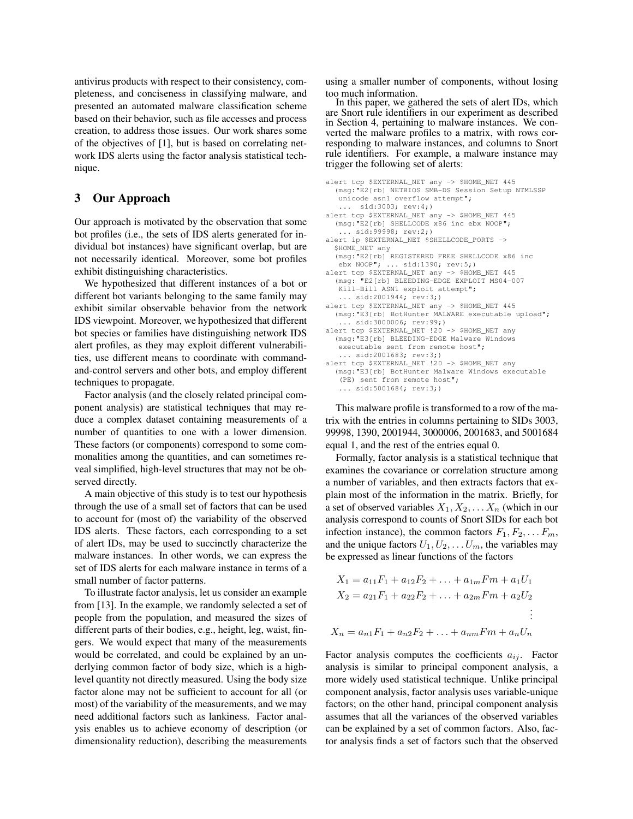antivirus products with respect to their consistency, completeness, and conciseness in classifying malware, and presented an automated malware classification scheme based on their behavior, such as file accesses and process creation, to address those issues. Our work shares some of the objectives of [1], but is based on correlating network IDS alerts using the factor analysis statistical technique.

## 3 Our Approach

Our approach is motivated by the observation that some bot profiles (i.e., the sets of IDS alerts generated for individual bot instances) have significant overlap, but are not necessarily identical. Moreover, some bot profiles exhibit distinguishing characteristics.

We hypothesized that different instances of a bot or different bot variants belonging to the same family may exhibit similar observable behavior from the network IDS viewpoint. Moreover, we hypothesized that different bot species or families have distinguishing network IDS alert profiles, as they may exploit different vulnerabilities, use different means to coordinate with commandand-control servers and other bots, and employ different techniques to propagate.

Factor analysis (and the closely related principal component analysis) are statistical techniques that may reduce a complex dataset containing measurements of a number of quantities to one with a lower dimension. These factors (or components) correspond to some commonalities among the quantities, and can sometimes reveal simplified, high-level structures that may not be observed directly.

A main objective of this study is to test our hypothesis through the use of a small set of factors that can be used to account for (most of) the variability of the observed IDS alerts. These factors, each corresponding to a set of alert IDs, may be used to succinctly characterize the malware instances. In other words, we can express the set of IDS alerts for each malware instance in terms of a small number of factor patterns.

To illustrate factor analysis, let us consider an example from [13]. In the example, we randomly selected a set of people from the population, and measured the sizes of different parts of their bodies, e.g., height, leg, waist, fingers. We would expect that many of the measurements would be correlated, and could be explained by an underlying common factor of body size, which is a highlevel quantity not directly measured. Using the body size factor alone may not be sufficient to account for all (or most) of the variability of the measurements, and we may need additional factors such as lankiness. Factor analysis enables us to achieve economy of description (or dimensionality reduction), describing the measurements using a smaller number of components, without losing too much information.

In this paper, we gathered the sets of alert IDs, which are Snort rule identifiers in our experiment as described in Section 4, pertaining to malware instances. We converted the malware profiles to a matrix, with rows corresponding to malware instances, and columns to Snort rule identifiers. For example, a malware instance may trigger the following set of alerts:

```
alert tcp $EXTERNAL_NET any -> $HOME_NET 445
  (msg:"E2[rb] NETBIOS SMB-DS Session Setup NTMLSSP
   unicode asn1 overflow attempt";
    ... sid:3003; rev:4;)
alert tcp $EXTERNAL_NET any -> $HOME_NET 445
  (msg:"E2[rb] SHELLCODE x86 inc ebx NOOP";
   ... sid:99998; rev:2;)
alert ip $EXTERNAL_NET $SHELLCODE_PORTS ->
  $HOME_NET any
  (msg:"E2[rb] REGISTERED FREE SHELLCODE x86 inc
   ebx NOOP"; ... sid:1390; rev:5;)
alert tcp $EXTERNAL_NET any -> $HOME_NET 445
  (msg: "E2[rb] BLEEDING-EDGE EXPLOIT MS04-007
   Kill-Bill ASN1 exploit attempt";
   ... sid:2001944; rev:3;)
alert tcp $EXTERNAL_NET any -> $HOME_NET 445
  (msg:"E3[rb] BotHunter MALWARE executable upload";
   ... sid:3000006; rev:99;)
alert tcp $EXTERNAL_NET !20 -> $HOME_NET any
  (msg:"E3[rb] BLEEDING-EDGE Malware Windows
  executable sent from remote host";
   ... sid:2001683; rev:3;)
alert tcp $EXTERNAL_NET !20 -> $HOME_NET any
  (msg:"E3[rb] BotHunter Malware Windows executable
   (PE) sent from remote host";
   ... sid:5001684; rev:3;)
```
This malware profile is transformed to a row of the matrix with the entries in columns pertaining to SIDs 3003, 99998, 1390, 2001944, 3000006, 2001683, and 5001684 equal 1, and the rest of the entries equal 0.

Formally, factor analysis is a statistical technique that examines the covariance or correlation structure among a number of variables, and then extracts factors that explain most of the information in the matrix. Briefly, for a set of observed variables  $X_1, X_2, \ldots, X_n$  (which in our analysis correspond to counts of Snort SIDs for each bot infection instance), the common factors  $F_1, F_2, \ldots F_m$ , and the unique factors  $U_1, U_2, \ldots U_m$ , the variables may be expressed as linear functions of the factors

$$
X_1 = a_{11}F_1 + a_{12}F_2 + \dots + a_{1m}Fm + a_1U_1
$$
  
\n
$$
X_2 = a_{21}F_1 + a_{22}F_2 + \dots + a_{2m}Fm + a_2U_2
$$
  
\n
$$
\vdots
$$
  
\n
$$
X_n = a_{n1}F_1 + a_{n2}F_2 + \dots + a_{nm}Fm + a_nU_n
$$

Factor analysis computes the coefficients  $a_{ij}$ . Factor analysis is similar to principal component analysis, a more widely used statistical technique. Unlike principal component analysis, factor analysis uses variable-unique factors; on the other hand, principal component analysis assumes that all the variances of the observed variables can be explained by a set of common factors. Also, factor analysis finds a set of factors such that the observed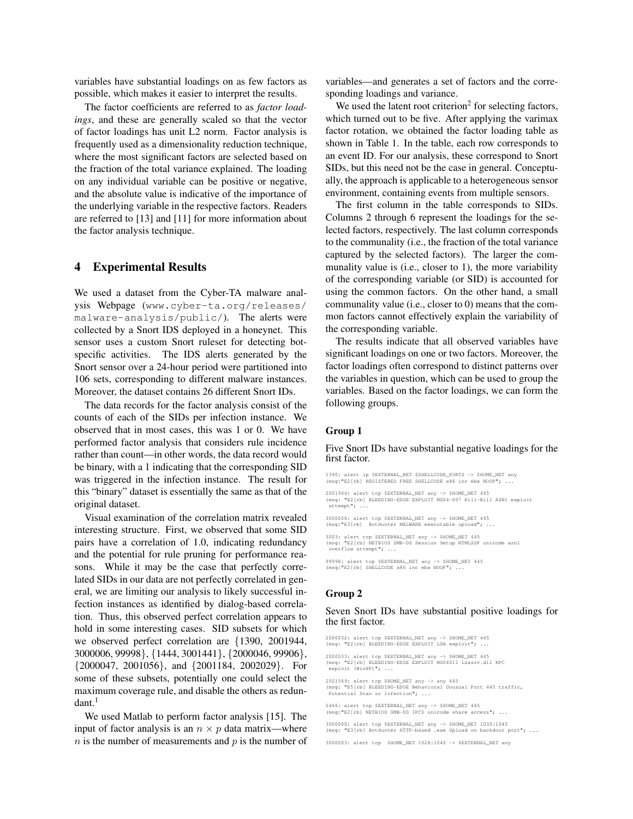variables have substantial loadings on as few factors as possible, which makes it easier to interpret the results.

The factor coefficients are referred to as *factor loadings*, and these are generally scaled so that the vector of factor loadings has unit L2 norm. Factor analysis is frequently used as a dimensionality reduction technique, where the most significant factors are selected based on the fraction of the total variance explained. The loading on any individual variable can be positive or negative, and the absolute value is indicative of the importance of the underlying variable in the respective factors. Readers are referred to [13] and [11] for more information about the factor analysis technique.

### 4 Experimental Results

We used a dataset from the Cyber-TA malware analysis Webpage (www.cyber-ta.org/releases/ malware-analysis/public/). The alerts were collected by a Snort IDS deployed in a honeynet. This sensor uses a custom Snort ruleset for detecting botspecific activities. The IDS alerts generated by the Snort sensor over a 24-hour period were partitioned into 106 sets, corresponding to different malware instances. Moreover, the dataset contains 26 different Snort IDs.

The data records for the factor analysis consist of the counts of each of the SIDs per infection instance. We observed that in most cases, this was 1 or 0. We have performed factor analysis that considers rule incidence rather than count—in other words, the data record would be binary, with a 1 indicating that the corresponding SID was triggered in the infection instance. The result for this "binary" dataset is essentially the same as that of the original dataset.

Visual examination of the correlation matrix revealed interesting structure. First, we observed that some SID pairs have a correlation of 1.0, indicating redundancy and the potential for rule pruning for performance reasons. While it may be the case that perfectly correlated SIDs in our data are not perfectly correlated in general, we are limiting our analysis to likely successful infection instances as identified by dialog-based correlation. Thus, this observed perfect correlation appears to hold in some interesting cases. SID subsets for which we observed perfect correlation are {1390, 2001944, 3000006, 99998}, {1444, 3001441}, {2000046, 99906}, {2000047, 2001056}, and {2001184, 2002029}. For some of these subsets, potentially one could select the maximum coverage rule, and disable the others as redun $dant.<sup>1</sup>$ 

We used Matlab to perform factor analysis [15]. The input of factor analysis is an  $n \times p$  data matrix—where  $n$  is the number of measurements and  $p$  is the number of variables—and generates a set of factors and the corresponding loadings and variance.

We used the latent root criterion<sup>2</sup> for selecting factors, which turned out to be five. After applying the varimax factor rotation, we obtained the factor loading table as shown in Table 1. In the table, each row corresponds to an event ID. For our analysis, these correspond to Snort SIDs, but this need not be the case in general. Conceptually, the approach is applicable to a heterogeneous sensor environment, containing events from multiple sensors.

The first column in the table corresponds to SIDs. Columns 2 through 6 represent the loadings for the selected factors, respectively. The last column corresponds to the communality (i.e., the fraction of the total variance captured by the selected factors). The larger the communality value is (i.e., closer to 1), the more variability of the corresponding variable (or SID) is accounted for using the common factors. On the other hand, a small communality value (i.e., closer to 0) means that the common factors cannot effectively explain the variability of the corresponding variable.

The results indicate that all observed variables have significant loadings on one or two factors. Moreover, the factor loadings often correspond to distinct patterns over the variables in question, which can be used to group the variables. Based on the factor loadings, we can form the following groups.

### Group 1

#### Five Snort IDs have substantial negative loadings for the first factor.

1390: alert ip \$EXTERNAL\_NET \$SHELLCODE\_PORTS -> \$HOME\_NET any (msg:"E2[rb] REGISTERED FREE SHELLCODE x86 inc ebx NOOP"; ...

2001944: alert tcp \$EXTERNAL\_NET any -> \$HOME\_NET 445 (msg: "E2[rb] BLEEDING-EDGE EXPLOIT MS04-007 Kill-Bill ASN1 exploit attempt"; ...

3000006: alert tcp \$EXTERNAL\_NET any -> \$HOME\_NET 445 (msg:"E3[rb] BotHunter MALWARE executable upload"; ...

3003: alert tcp \$EXTERNAL\_NET any -> \$HOME\_NET 445<br>(msg: "E2[rb] NETBIOS SMB-DS Session Setup NTMLSSP unicode asn1<br>overflow attempt"; ...

99998: alert tcp \$EXTERNAL\_NET any -> \$HOME\_NET 445 (msg:"E2[rb] SHELLCODE x86 inc ebx NOOP"; ...

#### Group 2

#### Seven Snort IDs have substantial positive loadings for the first factor.

2000032: alert tcp \$EXTERNAL\_NET any -> \$HOME\_NET 445 (msg: "E2[rb] BLEEDING-EDGE EXPLOIT LSA exploit"; ...

2000033: alert tcp \$EXTERNAL\_NET any -> \$HOME\_NET 445 (msg: "E2[rb] BLEEDING-EDGE EXPLOIT MS04011 Lsasrv.dll RPC exploit (WinXP)"; ...

2001569: alert tcp \$HOME\_NET any -> any 445 (msg: "E5[rb] BLEEDING-EDGE Behavioral Unusual Port 445 traffic, Potential Scan or Infection"; ...

2466: alert tcp \$EXTERNAL\_NET any -> \$HOME\_NET 445 (msg:"E2[rb] NETBIOS SMB-DS IPC\$ unicode share access"; ...

3000000: alert tcp \$EXTERNAL\_NET any -> \$HOME\_NET 1030:1040 (msg: "E3[rb] BotHunter HTTP-based .exe Upload on backdoor port"; ...

3000003: alert tcp \$HOME\_NET 1028:1040 -> \$EXTERNAL\_NET any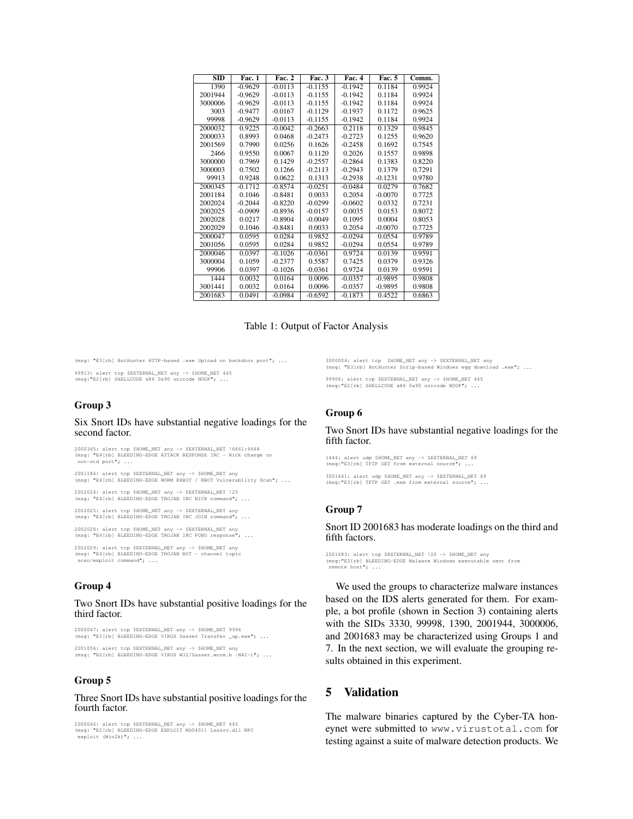| <b>SID</b> | <b>Fac. 1</b> | <b>Fac. 2</b> | Fac. 3    | Fac. 4    | Fac. 5    | Comm.  |
|------------|---------------|---------------|-----------|-----------|-----------|--------|
| 1390       | $-0.9629$     | $-0.0113$     | $-0.1155$ | $-0.1942$ | 0.1184    | 0.9924 |
| 2001944    | $-0.9629$     | $-0.0113$     | $-0.1155$ | $-0.1942$ | 0.1184    | 0.9924 |
| 3000006    | $-0.9629$     | $-0.0113$     | $-0.1155$ | $-0.1942$ | 0.1184    | 0.9924 |
| 3003       | $-0.9477$     | $-0.0167$     | $-0.1129$ | $-0.1937$ | 0.1172    | 0.9625 |
| 99998      | $-0.9629$     | $-0.0113$     | $-0.1155$ | $-0.1942$ | 0.1184    | 0.9924 |
| 2000032    | 0.9225        | $-0.0042$     | $-0.2663$ | 0.2118    | 0.1329    | 0.9845 |
| 2000033    | 0.8993        | 0.0468        | $-0.2473$ | $-0.2723$ | 0.1255    | 0.9620 |
| 2001569    | 0.7990        | 0.0256        | 0.1626    | $-0.2458$ | 0.1692    | 0.7545 |
| 2466       | 0.9550        | 0.0067        | 0.1120    | 0.2026    | 0.1557    | 0.9898 |
| 3000000    | 0.7969        | 0.1429        | $-0.2557$ | $-0.2864$ | 0.1383    | 0.8220 |
| 3000003    | 0.7502        | 0.1266        | $-0.2113$ | $-0.2943$ | 0.1379    | 0.7291 |
| 99913      | 0.9248        | 0.0622        | 0.1313    | $-0.2938$ | $-0.1231$ | 0.9780 |
| 2000345    | $-0.1712$     | $-0.8574$     | $-0.0251$ | $-0.0484$ | 0.0279    | 0.7682 |
| 2001184    | 0.1046        | $-0.8481$     | 0.0033    | 0.2054    | $-0.0070$ | 0.7725 |
| 2002024    | $-0.2044$     | $-0.8220$     | $-0.0299$ | $-0.0602$ | 0.0332    | 0.7231 |
| 2002025    | $-0.0909$     | $-0.8936$     | $-0.0157$ | 0.0035    | 0.0153    | 0.8072 |
| 2002028    | 0.0217        | $-0.8904$     | $-0.0049$ | 0.1095    | 0.0004    | 0.8053 |
| 2002029    | 0.1046        | $-0.8481$     | 0.0033    | 0.2054    | $-0.0070$ | 0.7725 |
| 2000047    | 0.0595        | 0.0284        | 0.9852    | $-0.0294$ | 0.0554    | 0.9789 |
| 2001056    | 0.0595        | 0.0284        | 0.9852    | $-0.0294$ | 0.0554    | 0.9789 |
| 2000046    | 0.0397        | $-0.1026$     | $-0.0361$ | 0.9724    | 0.0139    | 0.9591 |
| 3000004    | 0.1059        | $-0.2377$     | 0.5587    | 0.7425    | 0.0379    | 0.9326 |
| 99906      | 0.0397        | $-0.1026$     | $-0.0361$ | 0.9724    | 0.0139    | 0.9591 |
| 1444       | 0.0032        | 0.0164        | 0.0096    | $-0.0357$ | $-0.9895$ | 0.9808 |
| 3001441    | 0.0032        | 0.0164        | 0.0096    | $-0.0357$ | $-0.9895$ | 0.9808 |
| 2001683    | 0.0491        | $-0.0984$     | $-0.6592$ | $-0.1873$ | 0.4522    | 0.6863 |

### Table 1: Output of Factor Analysis

(msg: "E3[rb] BotHunter HTTP-based .exe Upload on backdoor port"; ...

99913: alert tcp \$EXTERNAL\_NET any -> \$HOME\_NET 445 (msg:"E2[rb] SHELLCODE x86 0x90 unicode NOOP"; ...

#### Group 3

#### Six Snort IDs have substantial negative loadings for the second factor.

2000345: alert tcp \$HOME\_NET any -> \$EXTERNAL\_NET !6661:6668 (msg: "E4[rb] BLEEDING-EDGE ATTACK RESPONSE IRC - Nick change on non-std port"; ...

2001184: alert tcp \$EXTERNAL\_NET any -> \$HOME\_NET any (msg: "E4[rb] BLEEDING-EDGE WORM RXBOT / RBOT Vulnerability Scan"; ...

2002024: alert tcp \$HOME\_NET any -> \$EXTERNAL\_NET !25 (msg: "E4[rb] BLEEDING-EDGE TROJAN IRC NICK command"; ...

2002025: alert tcp \$HOME\_NET any -> \$EXTERNAL\_NET any (msg: "E4[rb] BLEEDING-EDGE TROJAN IRC JOIN command"; ...

2002028: alert tcp \$HOME\_NET any -> \$EXTERNAL\_NET any (msg: "E4[rb] BLEEDING-EDGE TROJAN IRC PONG response"; ...

2002029: alert tcp \$EXTERNAL\_NET any -> \$HOME\_NET any (msg: "E4[rb] BLEEDING-EDGE TROJAN BOT - channel topic scan/exploit command"; ...

#### Group 4

#### Two Snort IDs have substantial positive loadings for the third factor.

2000047: alert tcp \$EXTERNAL\_NET any -> \$HOME\_NET 9996 (msg: "E3[rb] BLEEDING-EDGE VIRUS Sasser Transfer \_up.exe"; ...

2001056: alert tcp \$EXTERNAL\_NET any -> \$HOME\_NET any (msg: "E2[rb] BLEEDING-EDGE VIRUS W32/Sasser.worm.b -NAI-)"; ...

#### Group 5

#### Three Snort IDs have substantial positive loadings for the fourth factor.

2000046: alert tcp \$EXTERNAL\_NET any -> \$HOME\_NET 445 (msg: "E2[rb] BLEEDING-EDGE EXPLOIT MS04011 Lsasrv.dll RPC exploit (Win2k)"; ...

3000004: alert tcp \$HOME\_NET any -> \$EXTERNAL\_NET any (msg: "E3[rb] BotHunter Scrip-based Windows egg download .exe"; ...

99906: alert tcp \$EXTERNAL\_NET any -> \$HOME\_NET 445 (msg:"E2[rb] SHELLCODE x86 0x90 unicode NOOP"; ...

#### Group 6

#### Two Snort IDs have substantial negative loadings for the fifth factor.

1444: alert udp \$HOME\_NET any -> \$EXTERNAL\_NET 69 (msg:"E3[rb] TFTP GET from external source";

3001441: alert udp \$HOME\_NET any -> \$EXTERNAL\_NET 69 (msg:"E3[rb] TFTP GET .exe from external source"; ...

#### Group 7

Snort ID 2001683 has moderate loadings on the third and fifth factors.

```
2001683: alert tcp $EXTERNAL_NET !20 -> $HOME_NET any
(msg:"E3[rb] BLEEDING-EDGE Malware Windows executable sent from
remote host"; ...
```
We used the groups to characterize malware instances based on the IDS alerts generated for them. For example, a bot profile (shown in Section 3) containing alerts with the SIDs 3330, 99998, 1390, 2001944, 3000006, and 2001683 may be characterized using Groups 1 and 7. In the next section, we will evaluate the grouping results obtained in this experiment.

## 5 Validation

The malware binaries captured by the Cyber-TA honeynet were submitted to www.virustotal.com for testing against a suite of malware detection products. We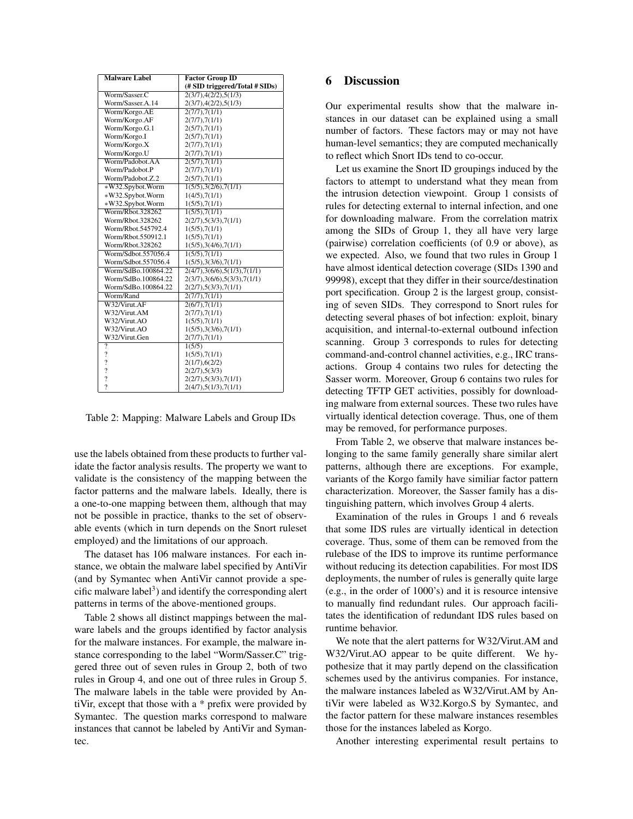| <b>Malware Label</b>     | <b>Factor Group ID</b>         |  |  |  |
|--------------------------|--------------------------------|--|--|--|
|                          | (# SID triggered/Total # SIDs) |  |  |  |
| Worm/Sasser.C            | 2(3/7), 4(2/2), 5(1/3)         |  |  |  |
| Worm/Sasser.A.14         | 2(3/7), 4(2/2), 5(1/3)         |  |  |  |
| Worm/Korgo.AE            | 2(7/7),7(1/1)                  |  |  |  |
| Worm/Korgo.AF            | 2(7/7),7(1/1)                  |  |  |  |
| Worm/Korgo.G.1           | 2(5/7),7(1/1)                  |  |  |  |
| Worm/Korgo.I             | 2(5/7),7(1/1)                  |  |  |  |
| Worm/Korgo.X             | 2(7/7),7(1/1)                  |  |  |  |
| Worm/Korgo.U             | 2(7/7),7(1/1)                  |  |  |  |
| Worm/Padobot.AA          | $\sqrt{2(5/7),7(1/1)}$         |  |  |  |
| Worm/Padobot.P           | 2(7/7),7(1/1)                  |  |  |  |
| Worm/Padobot.Z.2         | 2(5/7),7(1/1)                  |  |  |  |
| *W32.Spybot.Worm         | 1(5/5), 3(2/6), 7(1/1)         |  |  |  |
| *W32.Spybot.Worm         | 1(4/5), 7(1/1)                 |  |  |  |
| *W32.Spybot.Worm         | 1(5/5), 7(1/1)                 |  |  |  |
| Worm/Rbot.328262         | 1(5/5), 7(1/1)                 |  |  |  |
| Worm/Rhot.328262         | 2(2/7), 5(3/3), 7(1/1)         |  |  |  |
| Worm/Rbot.545792.4       | 1(5/5), 7(1/1)                 |  |  |  |
| Worm/Rbot.550912.1       | 1(5/5), 7(1/1)                 |  |  |  |
| Worm/Rbot.328262         | 1(5/5), 3(4/6), 7(1/1)         |  |  |  |
| Worm/Sdbot.557056.4      | 1(5/5), 7(1/1)                 |  |  |  |
| Worm/Sdbot.557056.4      | 1(5/5), 3(3/6), 7(1/1)         |  |  |  |
| Worm/SdBo.100864.22      | 2(4/7), 3(6/6), 5(1/3), 7(1/1) |  |  |  |
| Worm/SdBo.100864.22      | 2(3/7), 3(6/6), 5(3/3), 7(1/1) |  |  |  |
| Worm/SdBo.100864.22      | 2(2/7), 5(3/3), 7(1/1)         |  |  |  |
| Worm/Rand                | 2(7/7),7(1/1)                  |  |  |  |
| W32/Virut.AF             | 2(6/7), 7(1/1)                 |  |  |  |
| W32/Virut.AM             | 2(7/7),7(1/1)                  |  |  |  |
| W32/Virut.AO             | 1(5/5), 7(1/1)                 |  |  |  |
| W32/Virut.AO             | 1(5/5), 3(3/6), 7(1/1)         |  |  |  |
| W32/Virut.Gen            | 2(7/7),7(1/1)                  |  |  |  |
| ?                        | 1(5/5)                         |  |  |  |
| $\overline{\mathcal{L}}$ | 1(5/5), 7(1/1)                 |  |  |  |
| $\overline{\mathcal{L}}$ | 2(1/7), 6(2/2)                 |  |  |  |
| $\overline{\mathcal{L}}$ | 2(2/7), 5(3/3)                 |  |  |  |
| $\overline{?}$           | 2(2/7), 5(3/3), 7(1/1)         |  |  |  |
| $\mathcal{P}$            | 2(4/7), 5(1/3), 7(1/1)         |  |  |  |

Table 2: Mapping: Malware Labels and Group IDs

use the labels obtained from these products to further validate the factor analysis results. The property we want to validate is the consistency of the mapping between the factor patterns and the malware labels. Ideally, there is a one-to-one mapping between them, although that may not be possible in practice, thanks to the set of observable events (which in turn depends on the Snort ruleset employed) and the limitations of our approach.

The dataset has 106 malware instances. For each instance, we obtain the malware label specified by AntiVir (and by Symantec when AntiVir cannot provide a specific malware label<sup>3</sup>) and identify the corresponding alert patterns in terms of the above-mentioned groups.

Table 2 shows all distinct mappings between the malware labels and the groups identified by factor analysis for the malware instances. For example, the malware instance corresponding to the label "Worm/Sasser.C" triggered three out of seven rules in Group 2, both of two rules in Group 4, and one out of three rules in Group 5. The malware labels in the table were provided by AntiVir, except that those with a \* prefix were provided by Symantec. The question marks correspond to malware instances that cannot be labeled by AntiVir and Symantec.

# 6 Discussion

Our experimental results show that the malware instances in our dataset can be explained using a small number of factors. These factors may or may not have human-level semantics; they are computed mechanically to reflect which Snort IDs tend to co-occur.

Let us examine the Snort ID groupings induced by the factors to attempt to understand what they mean from the intrusion detection viewpoint. Group 1 consists of rules for detecting external to internal infection, and one for downloading malware. From the correlation matrix among the SIDs of Group 1, they all have very large (pairwise) correlation coefficients (of 0.9 or above), as we expected. Also, we found that two rules in Group 1 have almost identical detection coverage (SIDs 1390 and 99998), except that they differ in their source/destination port specification. Group 2 is the largest group, consisting of seven SIDs. They correspond to Snort rules for detecting several phases of bot infection: exploit, binary acquisition, and internal-to-external outbound infection scanning. Group 3 corresponds to rules for detecting command-and-control channel activities, e.g., IRC transactions. Group 4 contains two rules for detecting the Sasser worm. Moreover, Group 6 contains two rules for detecting TFTP GET activities, possibly for downloading malware from external sources. These two rules have virtually identical detection coverage. Thus, one of them may be removed, for performance purposes.

From Table 2, we observe that malware instances belonging to the same family generally share similar alert patterns, although there are exceptions. For example, variants of the Korgo family have similiar factor pattern characterization. Moreover, the Sasser family has a distinguishing pattern, which involves Group 4 alerts.

Examination of the rules in Groups 1 and 6 reveals that some IDS rules are virtually identical in detection coverage. Thus, some of them can be removed from the rulebase of the IDS to improve its runtime performance without reducing its detection capabilities. For most IDS deployments, the number of rules is generally quite large (e.g., in the order of 1000's) and it is resource intensive to manually find redundant rules. Our approach facilitates the identification of redundant IDS rules based on runtime behavior.

We note that the alert patterns for W32/Virut.AM and W32/Virut.AO appear to be quite different. We hypothesize that it may partly depend on the classification schemes used by the antivirus companies. For instance, the malware instances labeled as W32/Virut.AM by AntiVir were labeled as W32.Korgo.S by Symantec, and the factor pattern for these malware instances resembles those for the instances labeled as Korgo.

Another interesting experimental result pertains to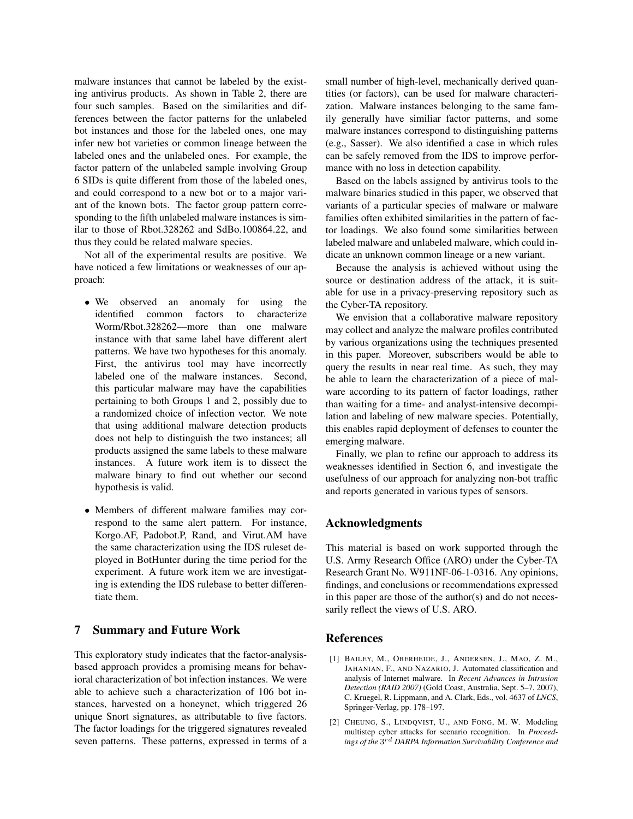malware instances that cannot be labeled by the existing antivirus products. As shown in Table 2, there are four such samples. Based on the similarities and differences between the factor patterns for the unlabeled bot instances and those for the labeled ones, one may infer new bot varieties or common lineage between the labeled ones and the unlabeled ones. For example, the factor pattern of the unlabeled sample involving Group 6 SIDs is quite different from those of the labeled ones, and could correspond to a new bot or to a major variant of the known bots. The factor group pattern corresponding to the fifth unlabeled malware instances is similar to those of Rbot.328262 and SdBo.100864.22, and thus they could be related malware species.

Not all of the experimental results are positive. We have noticed a few limitations or weaknesses of our approach:

- We observed an anomaly for using the identified common factors to characterize Worm/Rbot.328262—more than one malware instance with that same label have different alert patterns. We have two hypotheses for this anomaly. First, the antivirus tool may have incorrectly labeled one of the malware instances. Second, this particular malware may have the capabilities pertaining to both Groups 1 and 2, possibly due to a randomized choice of infection vector. We note that using additional malware detection products does not help to distinguish the two instances; all products assigned the same labels to these malware instances. A future work item is to dissect the malware binary to find out whether our second hypothesis is valid.
- Members of different malware families may correspond to the same alert pattern. For instance, Korgo.AF, Padobot.P, Rand, and Virut.AM have the same characterization using the IDS ruleset deployed in BotHunter during the time period for the experiment. A future work item we are investigating is extending the IDS rulebase to better differentiate them.

## 7 Summary and Future Work

This exploratory study indicates that the factor-analysisbased approach provides a promising means for behavioral characterization of bot infection instances. We were able to achieve such a characterization of 106 bot instances, harvested on a honeynet, which triggered 26 unique Snort signatures, as attributable to five factors. The factor loadings for the triggered signatures revealed seven patterns. These patterns, expressed in terms of a

small number of high-level, mechanically derived quantities (or factors), can be used for malware characterization. Malware instances belonging to the same family generally have similiar factor patterns, and some malware instances correspond to distinguishing patterns (e.g., Sasser). We also identified a case in which rules can be safely removed from the IDS to improve performance with no loss in detection capability.

Based on the labels assigned by antivirus tools to the malware binaries studied in this paper, we observed that variants of a particular species of malware or malware families often exhibited similarities in the pattern of factor loadings. We also found some similarities between labeled malware and unlabeled malware, which could indicate an unknown common lineage or a new variant.

Because the analysis is achieved without using the source or destination address of the attack, it is suitable for use in a privacy-preserving repository such as the Cyber-TA repository.

We envision that a collaborative malware repository may collect and analyze the malware profiles contributed by various organizations using the techniques presented in this paper. Moreover, subscribers would be able to query the results in near real time. As such, they may be able to learn the characterization of a piece of malware according to its pattern of factor loadings, rather than waiting for a time- and analyst-intensive decompilation and labeling of new malware species. Potentially, this enables rapid deployment of defenses to counter the emerging malware.

Finally, we plan to refine our approach to address its weaknesses identified in Section 6, and investigate the usefulness of our approach for analyzing non-bot traffic and reports generated in various types of sensors.

### Acknowledgments

This material is based on work supported through the U.S. Army Research Office (ARO) under the Cyber-TA Research Grant No. W911NF-06-1-0316. Any opinions, findings, and conclusions or recommendations expressed in this paper are those of the author(s) and do not necessarily reflect the views of U.S. ARO.

### References

- [1] BAILEY, M., OBERHEIDE, J., ANDERSEN, J., MAO, Z. M., JAHANIAN, F., AND NAZARIO, J. Automated classification and analysis of Internet malware. In *Recent Advances in Intrusion Detection (RAID 2007)* (Gold Coast, Australia, Sept. 5–7, 2007), C. Kruegel, R. Lippmann, and A. Clark, Eds., vol. 4637 of *LNCS*, Springer-Verlag, pp. 178–197.
- [2] CHEUNG, S., LINDQVIST, U., AND FONG, M. W. Modeling multistep cyber attacks for scenario recognition. In *Proceedings of the* 3 rd *DARPA Information Survivability Conference and*